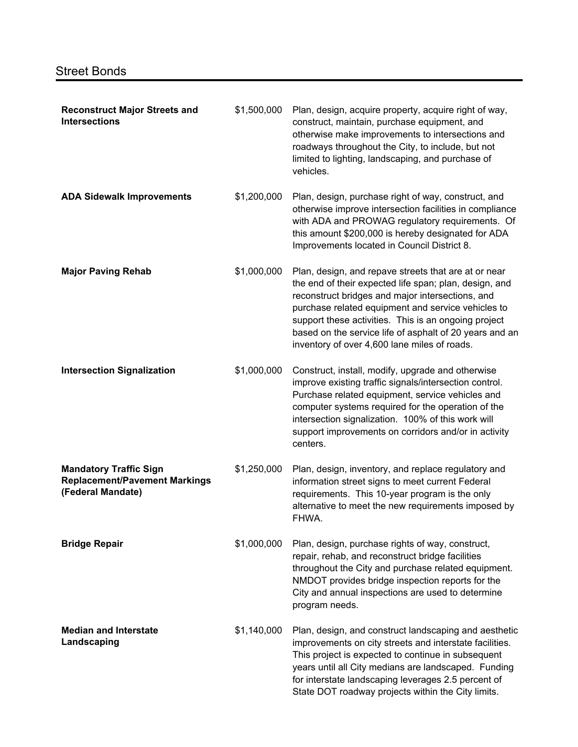| <b>Reconstruct Major Streets and</b><br><b>Intersections</b>                               | \$1,500,000 | Plan, design, acquire property, acquire right of way,<br>construct, maintain, purchase equipment, and<br>otherwise make improvements to intersections and<br>roadways throughout the City, to include, but not<br>limited to lighting, landscaping, and purchase of<br>vehicles.                                                                                                            |
|--------------------------------------------------------------------------------------------|-------------|---------------------------------------------------------------------------------------------------------------------------------------------------------------------------------------------------------------------------------------------------------------------------------------------------------------------------------------------------------------------------------------------|
| <b>ADA Sidewalk Improvements</b>                                                           | \$1,200,000 | Plan, design, purchase right of way, construct, and<br>otherwise improve intersection facilities in compliance<br>with ADA and PROWAG regulatory requirements. Of<br>this amount \$200,000 is hereby designated for ADA<br>Improvements located in Council District 8.                                                                                                                      |
| <b>Major Paving Rehab</b>                                                                  | \$1,000,000 | Plan, design, and repave streets that are at or near<br>the end of their expected life span; plan, design, and<br>reconstruct bridges and major intersections, and<br>purchase related equipment and service vehicles to<br>support these activities. This is an ongoing project<br>based on the service life of asphalt of 20 years and an<br>inventory of over 4,600 lane miles of roads. |
| <b>Intersection Signalization</b>                                                          | \$1,000,000 | Construct, install, modify, upgrade and otherwise<br>improve existing traffic signals/intersection control.<br>Purchase related equipment, service vehicles and<br>computer systems required for the operation of the<br>intersection signalization. 100% of this work will<br>support improvements on corridors and/or in activity<br>centers.                                             |
| <b>Mandatory Traffic Sign</b><br><b>Replacement/Pavement Markings</b><br>(Federal Mandate) | \$1,250,000 | Plan, design, inventory, and replace regulatory and<br>information street signs to meet current Federal<br>requirements. This 10-year program is the only<br>alternative to meet the new requirements imposed by<br>FHWA.                                                                                                                                                                   |
| <b>Bridge Repair</b>                                                                       | \$1,000,000 | Plan, design, purchase rights of way, construct,<br>repair, rehab, and reconstruct bridge facilities<br>throughout the City and purchase related equipment.<br>NMDOT provides bridge inspection reports for the<br>City and annual inspections are used to determine<br>program needs.                                                                                                      |
| <b>Median and Interstate</b><br>Landscaping                                                | \$1,140,000 | Plan, design, and construct landscaping and aesthetic<br>improvements on city streets and interstate facilities.<br>This project is expected to continue in subsequent<br>years until all City medians are landscaped. Funding<br>for interstate landscaping leverages 2.5 percent of<br>State DOT roadway projects within the City limits.                                                 |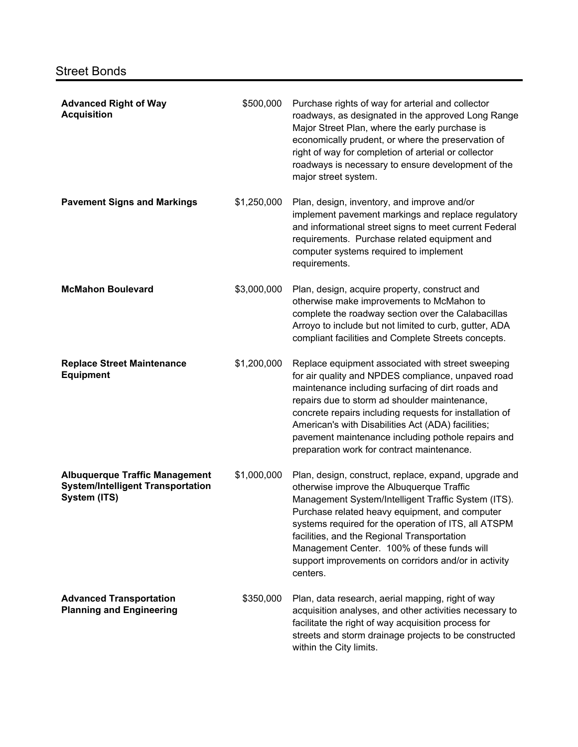| <b>Advanced Right of Way</b><br><b>Acquisition</b>                                                | \$500,000   | Purchase rights of way for arterial and collector<br>roadways, as designated in the approved Long Range<br>Major Street Plan, where the early purchase is<br>economically prudent, or where the preservation of<br>right of way for completion of arterial or collector<br>roadways is necessary to ensure development of the<br>major street system.                                                                                 |
|---------------------------------------------------------------------------------------------------|-------------|---------------------------------------------------------------------------------------------------------------------------------------------------------------------------------------------------------------------------------------------------------------------------------------------------------------------------------------------------------------------------------------------------------------------------------------|
| <b>Pavement Signs and Markings</b>                                                                | \$1,250,000 | Plan, design, inventory, and improve and/or<br>implement pavement markings and replace regulatory<br>and informational street signs to meet current Federal<br>requirements. Purchase related equipment and<br>computer systems required to implement<br>requirements.                                                                                                                                                                |
| <b>McMahon Boulevard</b>                                                                          | \$3,000,000 | Plan, design, acquire property, construct and<br>otherwise make improvements to McMahon to<br>complete the roadway section over the Calabacillas<br>Arroyo to include but not limited to curb, gutter, ADA<br>compliant facilities and Complete Streets concepts.                                                                                                                                                                     |
| <b>Replace Street Maintenance</b><br><b>Equipment</b>                                             | \$1,200,000 | Replace equipment associated with street sweeping<br>for air quality and NPDES compliance, unpaved road<br>maintenance including surfacing of dirt roads and<br>repairs due to storm ad shoulder maintenance,<br>concrete repairs including requests for installation of<br>American's with Disabilities Act (ADA) facilities;<br>pavement maintenance including pothole repairs and<br>preparation work for contract maintenance.    |
| <b>Albuquerque Traffic Management</b><br><b>System/Intelligent Transportation</b><br>System (ITS) | \$1,000,000 | Plan, design, construct, replace, expand, upgrade and<br>otherwise improve the Albuquerque Traffic<br>Management System/Intelligent Traffic System (ITS).<br>Purchase related heavy equipment, and computer<br>systems required for the operation of ITS, all ATSPM<br>facilities, and the Regional Transportation<br>Management Center. 100% of these funds will<br>support improvements on corridors and/or in activity<br>centers. |
| <b>Advanced Transportation</b><br><b>Planning and Engineering</b>                                 | \$350,000   | Plan, data research, aerial mapping, right of way<br>acquisition analyses, and other activities necessary to<br>facilitate the right of way acquisition process for<br>streets and storm drainage projects to be constructed<br>within the City limits.                                                                                                                                                                               |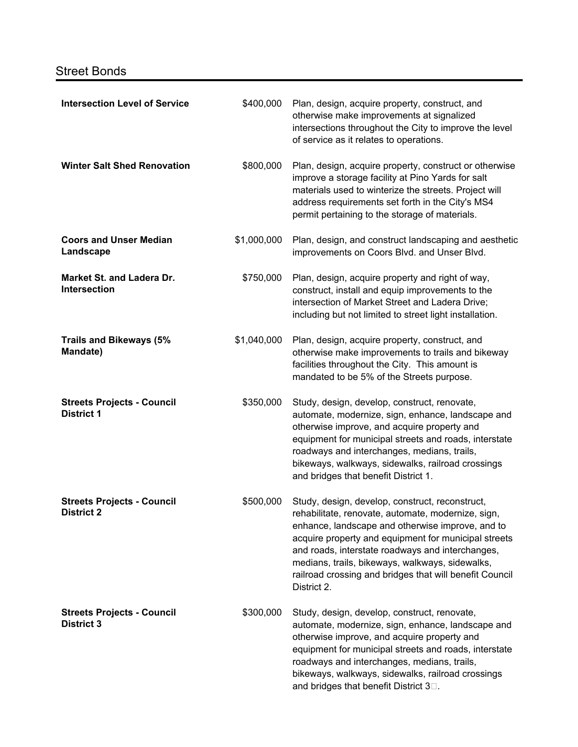## Street Bonds

| <b>Intersection Level of Service</b>                    | \$400,000   | Plan, design, acquire property, construct, and<br>otherwise make improvements at signalized<br>intersections throughout the City to improve the level<br>of service as it relates to operations.                                                                                                                                                                                                   |
|---------------------------------------------------------|-------------|----------------------------------------------------------------------------------------------------------------------------------------------------------------------------------------------------------------------------------------------------------------------------------------------------------------------------------------------------------------------------------------------------|
| <b>Winter Salt Shed Renovation</b>                      | \$800,000   | Plan, design, acquire property, construct or otherwise<br>improve a storage facility at Pino Yards for salt<br>materials used to winterize the streets. Project will<br>address requirements set forth in the City's MS4<br>permit pertaining to the storage of materials.                                                                                                                         |
| <b>Coors and Unser Median</b><br>Landscape              | \$1,000,000 | Plan, design, and construct landscaping and aesthetic<br>improvements on Coors Blvd. and Unser Blvd.                                                                                                                                                                                                                                                                                               |
| <b>Market St. and Ladera Dr.</b><br><b>Intersection</b> | \$750,000   | Plan, design, acquire property and right of way,<br>construct, install and equip improvements to the<br>intersection of Market Street and Ladera Drive;<br>including but not limited to street light installation.                                                                                                                                                                                 |
| <b>Trails and Bikeways (5%</b><br>Mandate)              | \$1,040,000 | Plan, design, acquire property, construct, and<br>otherwise make improvements to trails and bikeway<br>facilities throughout the City. This amount is<br>mandated to be 5% of the Streets purpose.                                                                                                                                                                                                 |
| <b>Streets Projects - Council</b><br><b>District 1</b>  | \$350,000   | Study, design, develop, construct, renovate,<br>automate, modernize, sign, enhance, landscape and<br>otherwise improve, and acquire property and<br>equipment for municipal streets and roads, interstate<br>roadways and interchanges, medians, trails,<br>bikeways, walkways, sidewalks, railroad crossings<br>and bridges that benefit District 1.                                              |
| <b>Streets Projects - Council</b><br><b>District 2</b>  | \$500,000   | Study, design, develop, construct, reconstruct,<br>rehabilitate, renovate, automate, modernize, sign,<br>enhance, landscape and otherwise improve, and to<br>acquire property and equipment for municipal streets<br>and roads, interstate roadways and interchanges,<br>medians, trails, bikeways, walkways, sidewalks,<br>railroad crossing and bridges that will benefit Council<br>District 2. |
| <b>Streets Projects - Council</b><br><b>District 3</b>  | \$300,000   | Study, design, develop, construct, renovate,<br>automate, modernize, sign, enhance, landscape and<br>otherwise improve, and acquire property and<br>equipment for municipal streets and roads, interstate<br>roadways and interchanges, medians, trails,<br>bikeways, walkways, sidewalks, railroad crossings<br>and bridges that benefit District 3 <sup>[1]</sup> .                              |